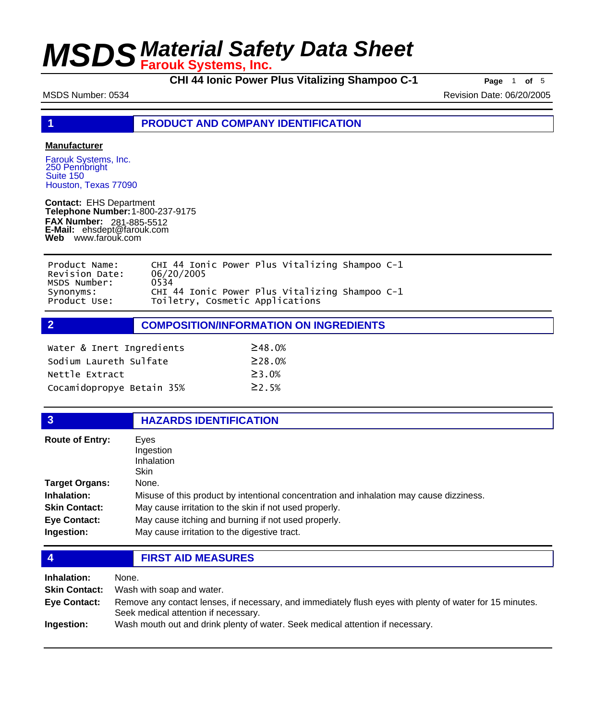**CHI 44 Ionic Power Plus Vitalizing Shampoo C-1 Page** <sup>1</sup> **of** <sup>5</sup>

MSDS Number: 0534 Revision Date: 06/20/2005

**1 PRODUCT AND COMPANY IDENTIFICATION**

### **Manufacturer**

Farouk Systems, Inc. 250 Pennbright Suite 150 Houston, Texas 77090

**Contact:** EHS Department **Telephone Number:** 1-800-237-9175 **FAX Number: FAX Number:** 281-885-5512<br>**E-Mail:** ehsdept@farouk.com **Web** www.farouk.com

| Product Name:  | CHI 44 Ionic Power Plus Vitalizing Shampoo C-1 |
|----------------|------------------------------------------------|
| Revision Date: | 06/20/2005                                     |
| MSDS Number:   | 0534                                           |
| Synonyms:      | CHI 44 Ionic Power Plus Vitalizing Shampoo C-1 |
| Product Use:   | Toiletry, Cosmetic Applications                |

**2 COMPOSITION/INFORMATION ON INGREDIENTS**

| Water & Inert Ingredients | $\geq$ 48.0%  |
|---------------------------|---------------|
| Sodium Laureth Sulfate    | $\geq$ 28.0%  |
| Nettle Extract            | $\geq$ 3 . 0% |
| Cocamidopropye Betain 35% | $\geq$ 2 . 5% |

## **3 HAZARDS IDENTIFICATION**

| <b>Route of Entry:</b> | Eyes<br>Ingestion<br>Inhalation                                                         |  |
|------------------------|-----------------------------------------------------------------------------------------|--|
|                        | <b>Skin</b>                                                                             |  |
| Target Organs:         | None.                                                                                   |  |
| <b>Inhalation:</b>     | Misuse of this product by intentional concentration and inhalation may cause dizziness. |  |
| <b>Skin Contact:</b>   | May cause irritation to the skin if not used properly.                                  |  |
| Eye Contact:           | May cause itching and burning if not used properly.                                     |  |
| Ingestion:             | May cause irritation to the digestive tract.                                            |  |

**4 FIRST AID MEASURES**

| Inhalation:          | None.                                                                                                                                            |
|----------------------|--------------------------------------------------------------------------------------------------------------------------------------------------|
| <b>Skin Contact:</b> | Wash with soap and water.                                                                                                                        |
| Eye Contact:         | Remove any contact lenses, if necessary, and immediately flush eyes with plenty of water for 15 minutes.<br>Seek medical attention if necessary. |
| Ingestion:           | Wash mouth out and drink plenty of water. Seek medical attention if necessary.                                                                   |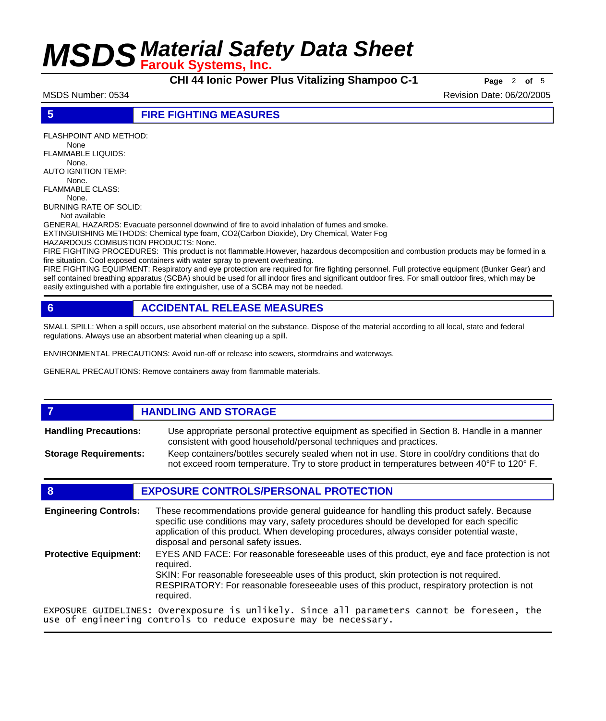**CHI 44 Ionic Power Plus Vitalizing Shampoo C-1 Page** <sup>2</sup> **of** <sup>5</sup>

MSDS Number: 0534 Revision Date: 06/20/2005

### **5 FIRE FIGHTING MEASURES**

FLASHPOINT AND METHOD: None

FLAMMABLE LIQUIDS: None.

AUTO IGNITION TEMP:

 None. FLAMMABLE CLASS:

 None. BURNING RATE OF SOLID:

Not available

GENERAL HAZARDS: Evacuate personnel downwind of fire to avoid inhalation of fumes and smoke.

EXTINGUISHING METHODS: Chemical type foam, CO2(Carbon Dioxide), Dry Chemical, Water Fog

HAZARDOUS COMBUSTION PRODUCTS: None.

FIRE FIGHTING PROCEDURES: This product is not flammable.However, hazardous decomposition and combustion products may be formed in a fire situation. Cool exposed containers with water spray to prevent overheating.

FIRE FIGHTING EQUIPMENT: Respiratory and eye protection are required for fire fighting personnel. Full protective equipment (Bunker Gear) and self contained breathing apparatus (SCBA) should be used for all indoor fires and significant outdoor fires. For small outdoor fires, which may be easily extinguished with a portable fire extinguisher, use of a SCBA may not be needed.

## **6 ACCIDENTAL RELEASE MEASURES**

SMALL SPILL: When a spill occurs, use absorbent material on the substance. Dispose of the material according to all local, state and federal regulations. Always use an absorbent material when cleaning up a spill.

ENVIRONMENTAL PRECAUTIONS: Avoid run-off or release into sewers, stormdrains and waterways.

GENERAL PRECAUTIONS: Remove containers away from flammable materials.

### **7 HANDLING AND STORAGE** Use appropriate personal protective equipment as specified in Section 8. Handle in a manner consistent with good household/personal techniques and practices. **Handling Precautions:** Keep containers/bottles securely sealed when not in use. Store in cool/dry conditions that do not exceed room temperature. Try to store product in temperatures between 40°F to 120° F. **Storage Requirements:**

## **8 EXPOSURE CONTROLS/PERSONAL PROTECTION**

These recommendations provide general guideance for handling this product safely. Because specific use conditions may vary, safety procedures should be developed for each specific application of this product. When developing procedures, always consider potential waste, disposal and personal safety issues. **Engineering Controls:** EYES AND FACE: For reasonable foreseeable uses of this product, eye and face protection is not required. SKIN: For reasonable foreseeable uses of this product, skin protection is not required. RESPIRATORY: For reasonable foreseeable uses of this product, respiratory protection is not required. **Protective Equipment:** EXPOSURE GUIDELINES: Overexposure is unlikely. Since all parameters cannot be foreseen, the use of engineering controls to reduce exposure may be necessary.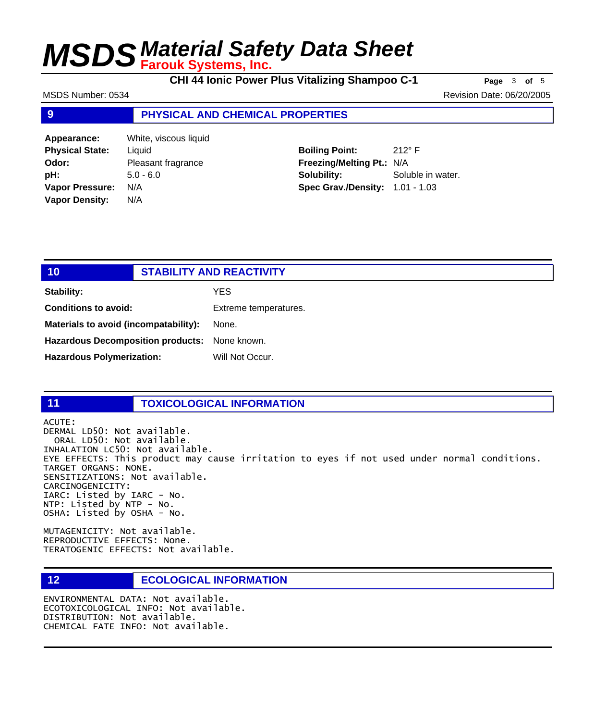**CHI 44 Ionic Power Plus Vitalizing Shampoo C-1 Page** <sup>3</sup> **of** <sup>5</sup>

MSDS Number: 0534 Revision Date: 06/20/2005

## **9 PHYSICAL AND CHEMICAL PROPERTIES**

| Appearance:            | White, viscous liquid |
|------------------------|-----------------------|
| <b>Physical State:</b> | Liquid                |
| Odor:                  | Pleasant fragrance    |
| pH:                    | $5.0 - 6.0$           |
| <b>Vapor Pressure:</b> | N/A                   |
| <b>Vapor Density:</b>  | N/A                   |

**Boiling Point:** 212° F **Freezing/Melting Pt.:** N/A **Solubility:** Soluble in water. **Spec Grav./Density:** 1.01 - 1.03

| 10                                            | <b>STABILITY AND REACTIVITY</b> |
|-----------------------------------------------|---------------------------------|
| <b>Stability:</b>                             | YES.                            |
| <b>Conditions to avoid:</b>                   | Extreme temperatures.           |
| Materials to avoid (incompatability):         | None.                           |
| Hazardous Decomposition products: None known. |                                 |
| <b>Hazardous Polymerization:</b>              | Will Not Occur.                 |
|                                               |                                 |

## **11 TOXICOLOGICAL INFORMATION**

ACUTE: DERMAL LD50: Not available. ORAL LD50: Not available. INHALATION LC50: Not available. EYE EFFECTS: This product may cause irritation to eyes if not used under normal conditions. TARGET ORGANS: NONE. SENSITIZATIONS: Not available. CARCINOGENICITY: IARC: Listed by IARC - No. NTP: Listed by NTP - No. OSHA: Listed by OSHA - No.

MUTAGENICITY: Not available. REPRODUCTIVE EFFECTS: None. TERATOGENIC EFFECTS: Not available.

### **12 ECOLOGICAL INFORMATION**

ENVIRONMENTAL DATA: Not available. ECOTOXICOLOGICAL INFO: Not available. DISTRIBUTION: Not available. CHEMICAL FATE INFO: Not available.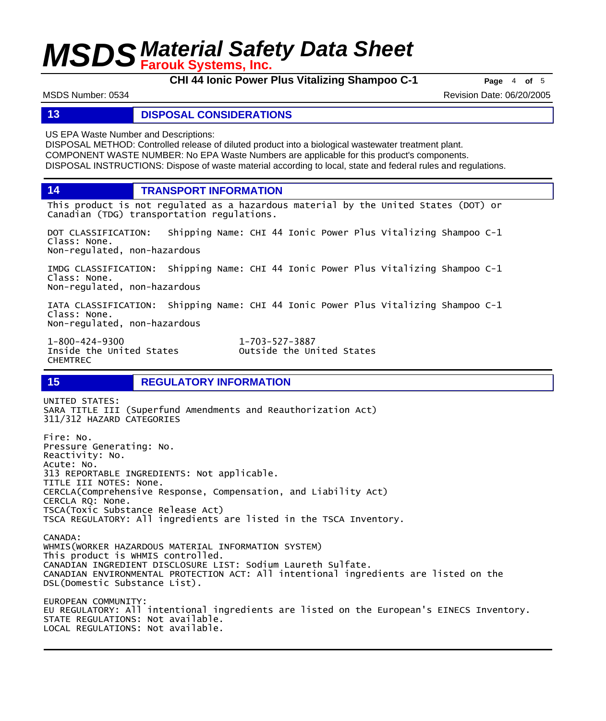**CHI 44 Ionic Power Plus Vitalizing Shampoo C-1 Page** <sup>4</sup> **of** <sup>5</sup>

MSDS Number: 0534 Revision Date: 06/20/2005

### **13 DISPOSAL CONSIDERATIONS**

US EPA Waste Number and Descriptions:

DISPOSAL METHOD: Controlled release of diluted product into a biological wastewater treatment plant. COMPONENT WASTE NUMBER: No EPA Waste Numbers are applicable for this product's components. DISPOSAL INSTRUCTIONS: Dispose of waste material according to local, state and federal rules and regulations.

**14 TRANSPORT INFORMATION**

This product is not regulated as a hazardous material by the United States (DOT) or Canadian (TDG) transportation regulations.

DOT CLASSIFICATION: Shipping Name: CHI 44 Ionic Power Plus Vitalizing Shampoo C-1 Class: None. Non-regulated, non-hazardous

IMDG CLASSIFICATION: Shipping Name: CHI 44 Ionic Power Plus Vitalizing Shampoo C-1 Class: None. Non-regulated, non-hazardous

IATA CLASSIFICATION: Shipping Name: CHI 44 Ionic Power Plus Vitalizing Shampoo C-1 Class: None. Non-regulated, non-hazardous

1-800-424-9300 1-703-527-3887 CHEMTREC

Outside the United States

## **15 REGULATORY INFORMATION**

UNITED STATES: SARA TITLE III (Superfund Amendments and Reauthorization Act) 311/312 HAZARD CATEGORIES Fire: No. Pressure Generating: No. Reactivity: No. Acute: No. 313 REPORTABLE INGREDIENTS: Not applicable. TITLE III NOTES: None. CERCLA(Comprehensive Response, Compensation, and Liability Act) CERCLA RQ: None. TSCA(Toxic Substance Release Act) TSCA REGULATORY: All ingredients are listed in the TSCA Inventory. CANADA: WHMIS(WORKER HAZARDOUS MATERIAL INFORMATION SYSTEM) This product is WHMIS controlled. CANADIAN INGREDIENT DISCLOSURE LIST: Sodium Laureth Sulfate. CANADIAN ENVIRONMENTAL PROTECTION ACT: All intentional ingredients are listed on the DSL(Domestic Substance List). EUROPEAN COMMUNITY: EU REGULATORY: All intentional ingredients are listed on the European's EINECS Inventory. STATE REGULATIONS: Not available.

LOCAL REGULATIONS: Not available.